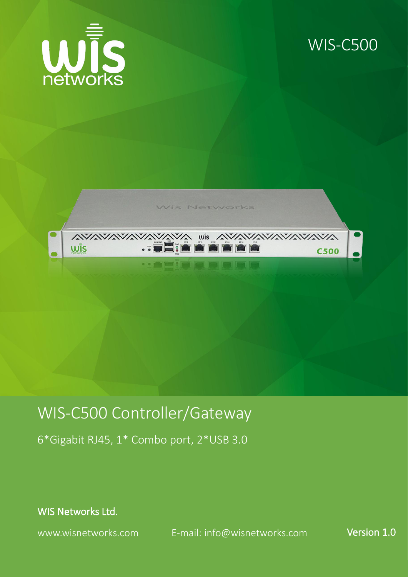

## WIS-C500





## WIS-C500 Controller/Gateway

6\*Gigabit RJ45, 1\* Combo port, 2\*USB 3.0

WIS Networks Ltd.

www.wisnetworks.com E-mail: [info@wisnetworks.com](mailto:info@wisnetworks.com) Version 1.0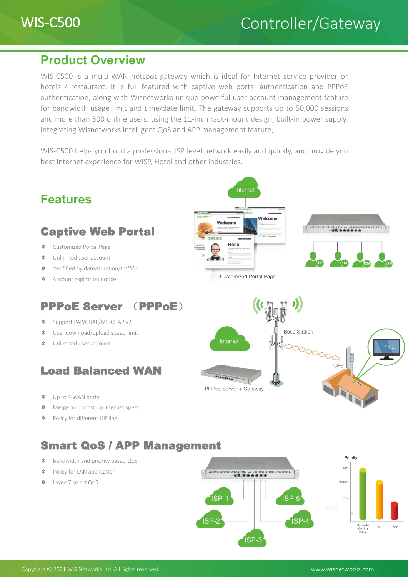### **Product Overview**

WIS-C500 is a multi-WAN hotspot gateway which is ideal for Internet service provider or hotels / restaurant. It is full featured with captive web portal authentication and PPPoE authentication, along with Wisnetworks unique powerful user account management feature for bandwidth usage limit and time/date limit. The gateway supports up to 50,000 sessions and more than 500 online users, using the 11-inch rack-mount design, built-in power supply. Integrating Wisnetworks intelligent QoS and APP management feature,

WIS-C500 helps you build a professional ISP level network easily and quickly, and provide you best Internet experience for WISP, Hotel and other industries.



❆ Layer-7 smart QoS

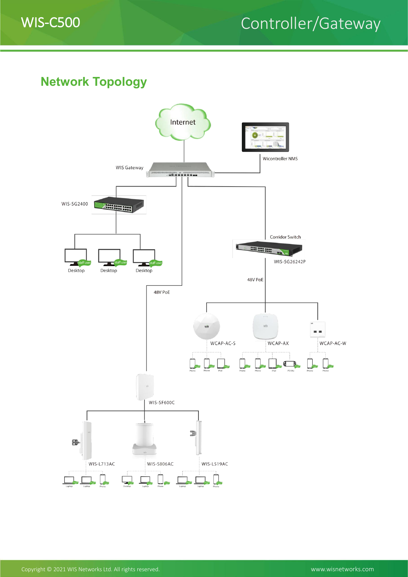

## WIS-C500 Controller/Gateway

## **Network Topology**

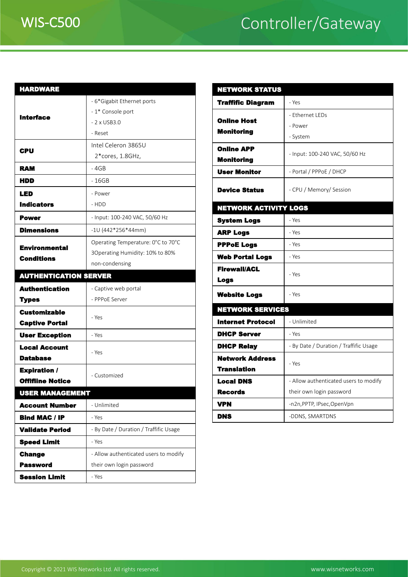# WIS-C500 Controller/Gateway

| <b>HARDWARE</b>                           |                                        | <b>NETWORKS</b>      |
|-------------------------------------------|----------------------------------------|----------------------|
| <b>Interface</b>                          | - 6*Gigabit Ethernet ports             | <b>Traffific Dia</b> |
|                                           | - 1* Console port                      |                      |
|                                           | $-2$ x USB3.0                          | <b>Online Host</b>   |
|                                           | - Reset                                | <b>Monitoring</b>    |
| CPU                                       | Intel Celeron 3865U                    | <b>Online APP</b>    |
|                                           | 2*cores, 1.8GHz,                       | <b>Monitoring</b>    |
| <b>RAM</b>                                | - 4GB                                  | <b>User Monito</b>   |
| HDD                                       | - 16GB                                 |                      |
| LED                                       | - Power                                | <b>Device State</b>  |
| <b>Indicators</b>                         | - HDD                                  | <b>NETWORK A</b>     |
| <b>Power</b>                              | - Input: 100-240 VAC, 50/60 Hz         | <b>System Logs</b>   |
| <b>Dimensions</b>                         | $-10(442*256*44mm)$                    | <b>ARP Logs</b>      |
| <b>Environmental</b><br><b>Conditions</b> | Operating Temperature: 0°C to 70°C     | <b>PPPoE Logs</b>    |
|                                           | 3Operating Humidity: 10% to 80%        | <b>Web Portal</b>    |
|                                           | non-condensing                         | <b>Firewall/ACI</b>  |
| <b>AUTHENTICATION SERVER</b>              |                                        | <b>Logs</b>          |
| <b>Authentication</b>                     | - Captive web portal                   |                      |
| <b>Types</b>                              | - PPPoE Server                         | <b>Website Log</b>   |
| <b>Customizable</b>                       | - Yes                                  | <b>NETWORKS</b>      |
| <b>Captive Portal</b>                     |                                        | <b>Internet Pro</b>  |
| <b>User Exception</b>                     | - Yes                                  | <b>DHCP Serve</b>    |
| <b>Local Account</b>                      | - Yes                                  | <b>DHCP Relay</b>    |
| <b>Database</b>                           |                                        | <b>Network Ad</b>    |
| <b>Expiration /</b>                       | - Customized                           | <b>Translation</b>   |
| <b>Offifiine Notice</b>                   |                                        | <b>Local DNS</b>     |
| <b>USER MANAGEMENT</b>                    |                                        | <b>Records</b>       |
| <b>Account Number</b>                     | - Unlimited                            | <b>VPN</b>           |
| <b>Bind MAC / IP</b>                      | - Yes                                  | <b>DNS</b>           |
| <b>Validate Period</b>                    | - By Date / Duration / Traffific Usage |                      |
| <b>Speed Limit</b>                        | - Yes                                  |                      |
| <b>Change</b>                             | - Allow authenticated users to modify  |                      |
| <b>Password</b>                           | their own login password               |                      |
| <b>Session Limit</b>                      | - Yes                                  |                      |

| <b>NETWORK STATUS</b>              |                                        |  |  |
|------------------------------------|----------------------------------------|--|--|
| <b>Traffific Diagram</b>           | - Yes                                  |  |  |
|                                    | - Ethernet LEDs                        |  |  |
| <b>Online Host</b>                 | - Power                                |  |  |
| <b>Monitoring</b>                  | - System                               |  |  |
| <b>Online APP</b>                  |                                        |  |  |
| Monitoring                         | - Input: 100-240 VAC, 50/60 Hz         |  |  |
| <b>User Monitor</b>                | - Portal / PPPoE / DHCP                |  |  |
| <b>Device Status</b>               | - CPU / Memory/ Session                |  |  |
| <b>NETWORK ACTIVITY LOGS</b>       |                                        |  |  |
| <b>System Logs</b>                 | - Yes                                  |  |  |
| <b>ARP Logs</b>                    | - Yes                                  |  |  |
| <b>PPPoE Logs</b>                  | - Yes                                  |  |  |
| <b>Web Portal Logs</b>             | - Yes                                  |  |  |
| <b>Firewall/ACL</b><br><b>Logs</b> | - Yes                                  |  |  |
| <b>Website Logs</b>                | - Yes                                  |  |  |
| <b>NETWORK SERVICES</b>            |                                        |  |  |
| <b>Internet Protocol</b>           | - Unlimited                            |  |  |
| <b>DHCP Server</b>                 | - Yes                                  |  |  |
| <b>DHCP Relay</b>                  | - By Date / Duration / Traffific Usage |  |  |
| <b>Network Address</b>             |                                        |  |  |
| <b>Translation</b>                 | - Yes                                  |  |  |
| <b>Local DNS</b>                   | - Allow authenticated users to modify  |  |  |
| <b>Records</b>                     | their own login password               |  |  |
| <b>VPN</b>                         | -n2n, PPTP, IPsec, OpenVpn             |  |  |
| <b>DNS</b>                         | -DDNS, SMARTDNS                        |  |  |
|                                    |                                        |  |  |